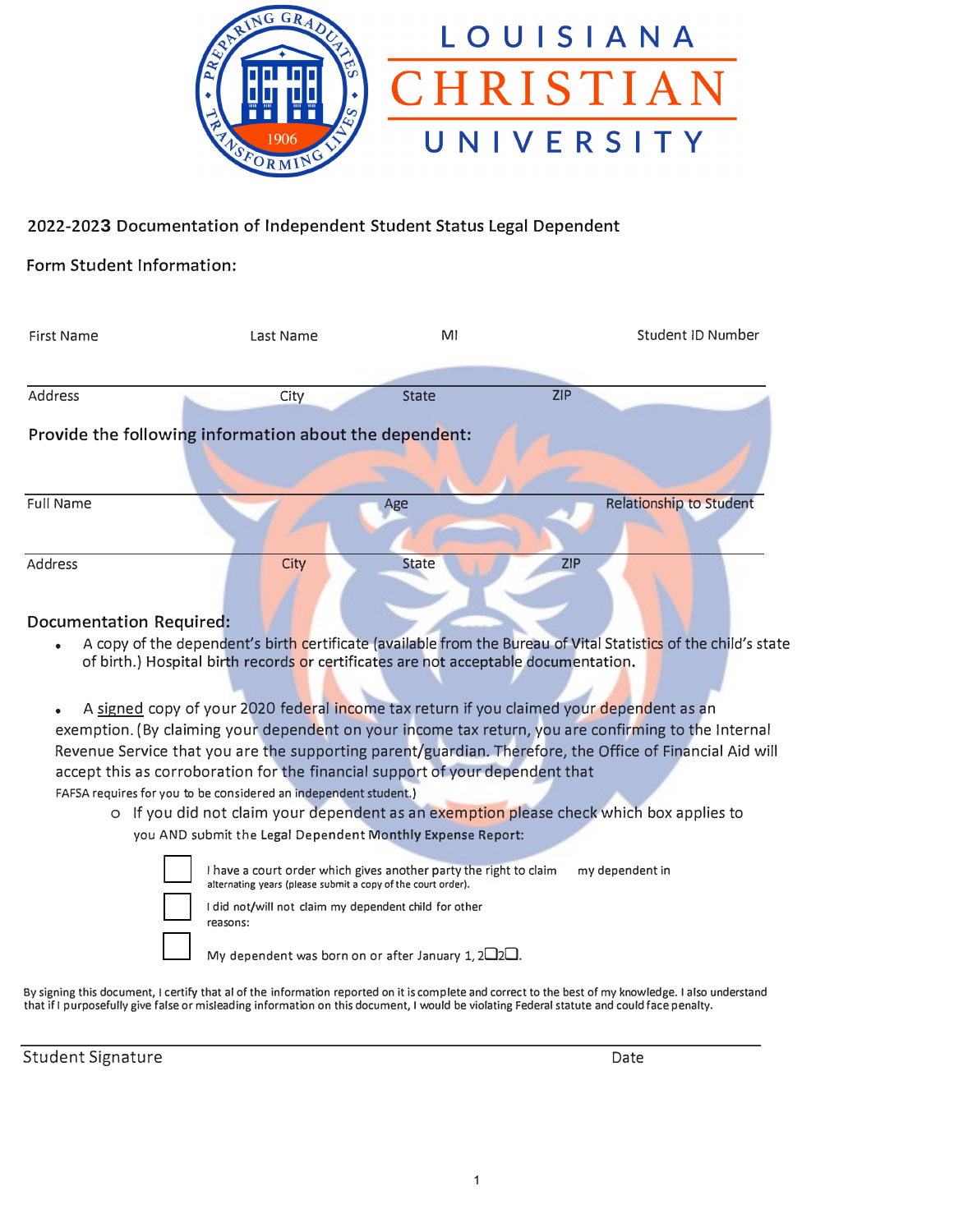

## 2022-202**3** Documentation of Independent Student Status Legal Dependent

## Form Student Information:

| <b>First Name</b>              | Last Name                                                                                                                                                                                                       | MI           |            | Student ID Number       |  |
|--------------------------------|-----------------------------------------------------------------------------------------------------------------------------------------------------------------------------------------------------------------|--------------|------------|-------------------------|--|
|                                |                                                                                                                                                                                                                 |              |            |                         |  |
| Address                        | City                                                                                                                                                                                                            | <b>State</b> | <b>ZIP</b> |                         |  |
|                                | Provide the following information about the dependent:                                                                                                                                                          |              |            |                         |  |
|                                |                                                                                                                                                                                                                 |              |            |                         |  |
| Full Name                      |                                                                                                                                                                                                                 | Age          |            | Relationship to Student |  |
|                                |                                                                                                                                                                                                                 |              |            |                         |  |
| Address                        | City                                                                                                                                                                                                            | <b>State</b> | <b>ZIP</b> |                         |  |
|                                |                                                                                                                                                                                                                 |              |            |                         |  |
| <b>Documentation Required:</b> |                                                                                                                                                                                                                 |              |            |                         |  |
|                                | A copy of the dependent's birth certificate (available from the Bureau of Vital Statistics of the child's state<br>of birth.) Hospital birth records or certificates are not acceptable documentation.          |              |            |                         |  |
|                                |                                                                                                                                                                                                                 |              |            |                         |  |
|                                | A signed copy of your 2020 federal income tax return if you claimed your dependent as an                                                                                                                        |              |            |                         |  |
|                                | exemption. (By claiming your dependent on your income tax return, you are confirming to the Internal<br>Dovenue Capica that you are the cunnerting parent/guardian. Therefore, the Office of Einancial Aid will |              |            |                         |  |

Revenue Service that you are the supporting parent/guardian. Therefore, the Office of Financial Aid will accept this as corroboration for the financial support of your dependent that FAFSA requires for you to be considered an independent student.)

o If you did not claim your dependent as an exemption please check which box applies to you AND submit the Legal Dependent Monthly Expense Report:

I have a court order which gives another party the right to claim my dependent in **alternating years (please submit a copy of the court order). □** I did not/will not claim my dependent child for other reasons:

My dependent was born on or after January 1,  $2\square$  $2\square$ .

Bysigning this document, I certify that al ofthe information reported on it is complete and correct to the best ofmy knowledge. I also understand that if I purposefullygive false or misleading information on this document, I would be violating Federalstatute and couldface penalty.

Student Signature Date